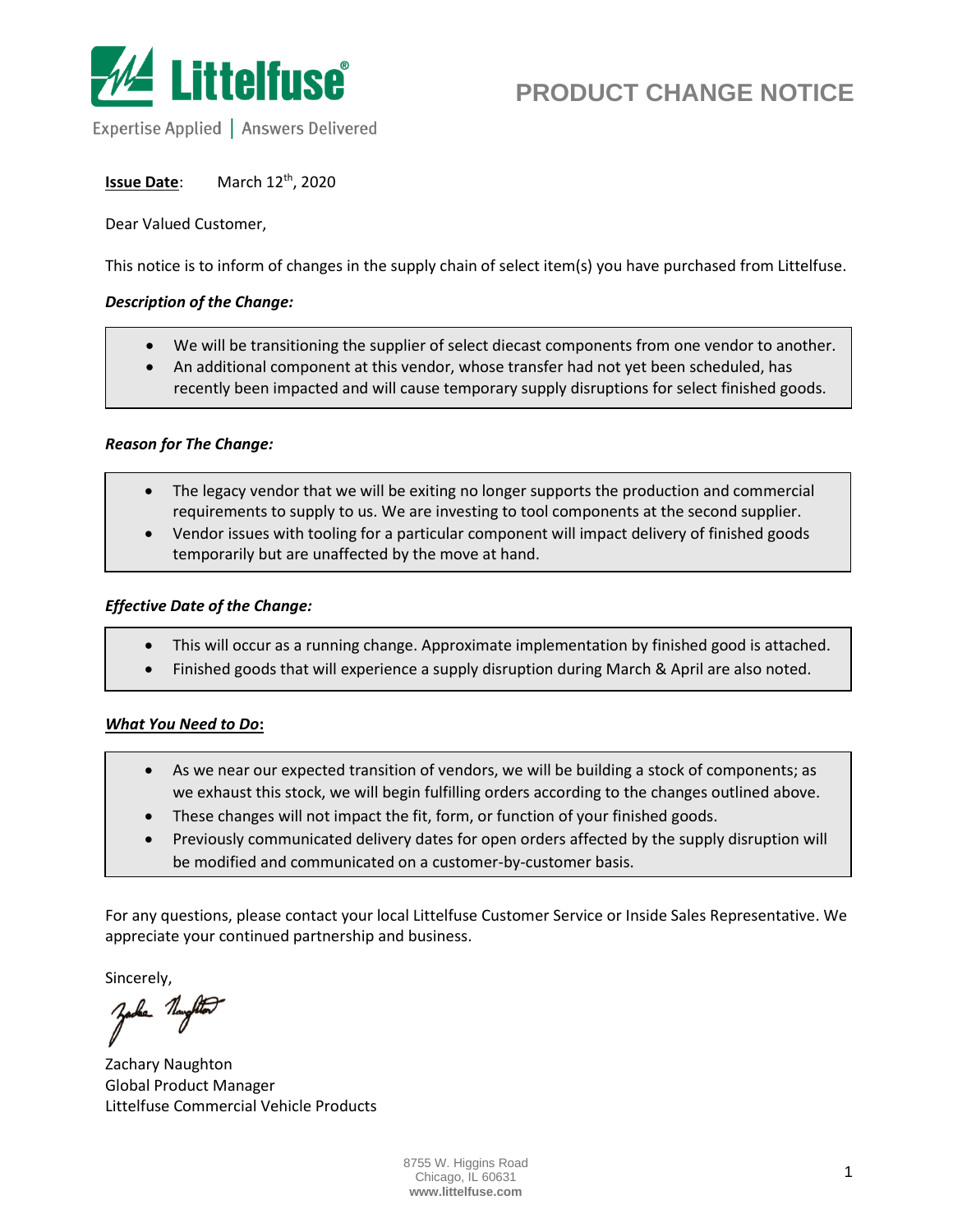

Expertise Applied | Answers Delivered

**Issue Date:** <sup>th</sup>, 2020

Dear Valued Customer,

This notice is to inform of changes in the supply chain of select item(s) you have purchased from Littelfuse.

## *Description of the Change:*

- We will be transitioning the supplier of select diecast components from one vendor to another.
- An additional component at this vendor, whose transfer had not yet been scheduled, has recently been impacted and will cause temporary supply disruptions for select finished goods.

#### *Reason for The Change:*

- The legacy vendor that we will be exiting no longer supports the production and commercial requirements to supply to us. We are investing to tool components at the second supplier.
- Vendor issues with tooling for a particular component will impact delivery of finished goods temporarily but are unaffected by the move at hand.

## *Effective Date of the Change:*

- This will occur as a running change. Approximate implementation by finished good is attached.
- Finished goods that will experience a supply disruption during March & April are also noted.

## *What You Need to Do***:**

- As we near our expected transition of vendors, we will be building a stock of components; as we exhaust this stock, we will begin fulfilling orders according to the changes outlined above.
- These changes will not impact the fit, form, or function of your finished goods.
- Previously communicated delivery dates for open orders affected by the supply disruption will be modified and communicated on a customer-by-customer basis.

For any questions, please contact your local Littelfuse Customer Service or Inside Sales Representative. We appreciate your continued partnership and business.

Sincerely,

Zachary Naughton Global Product Manager Littelfuse Commercial Vehicle Products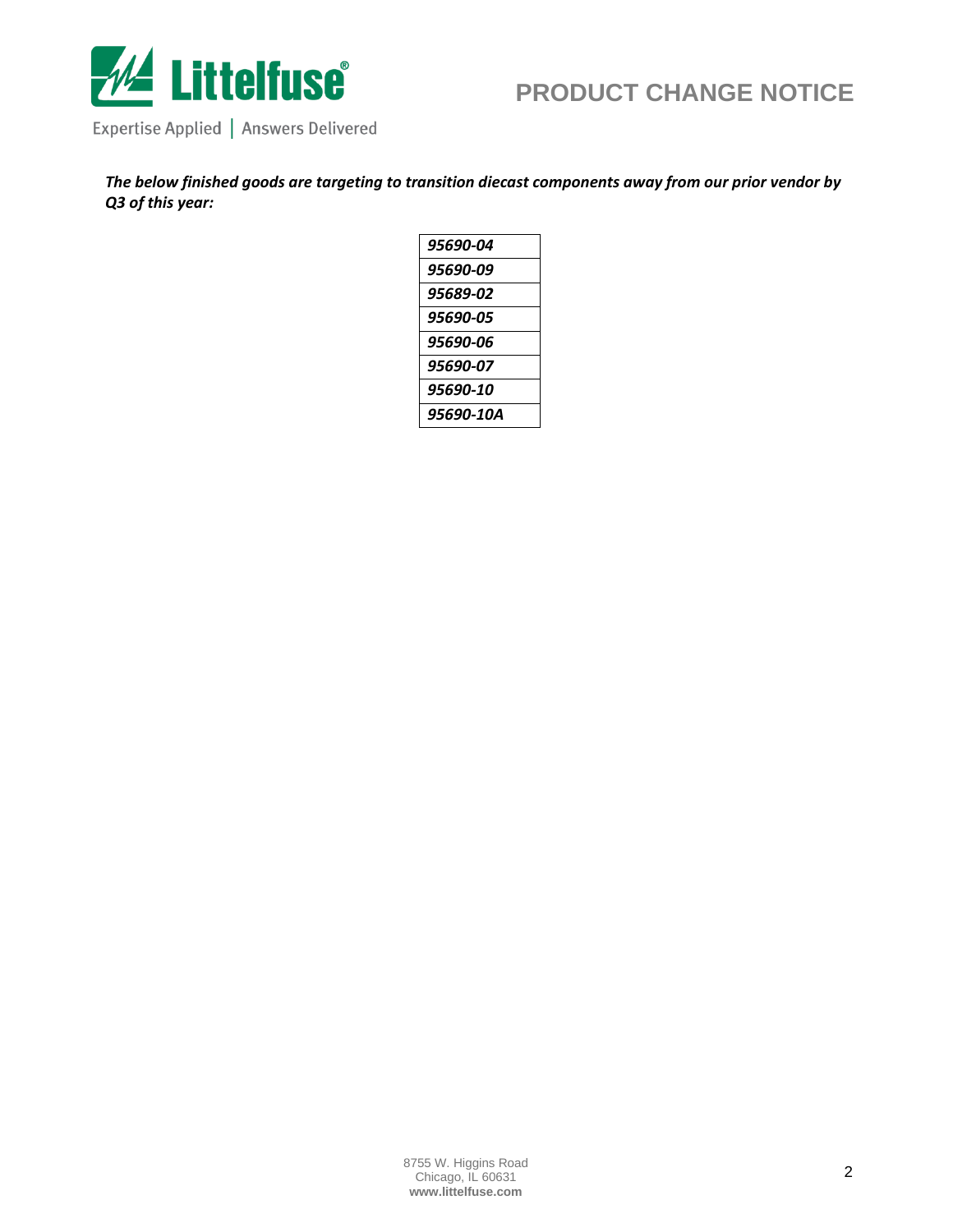

Expertise Applied | Answers Delivered

*The below finished goods are targeting to transition diecast components away from our prior vendor by Q3 of this year:*

| 95690-04  |
|-----------|
| 95690-09  |
| 95689-02  |
| 95690-05  |
| 95690-06  |
| 95690-07  |
| 95690-10  |
| 95690-10A |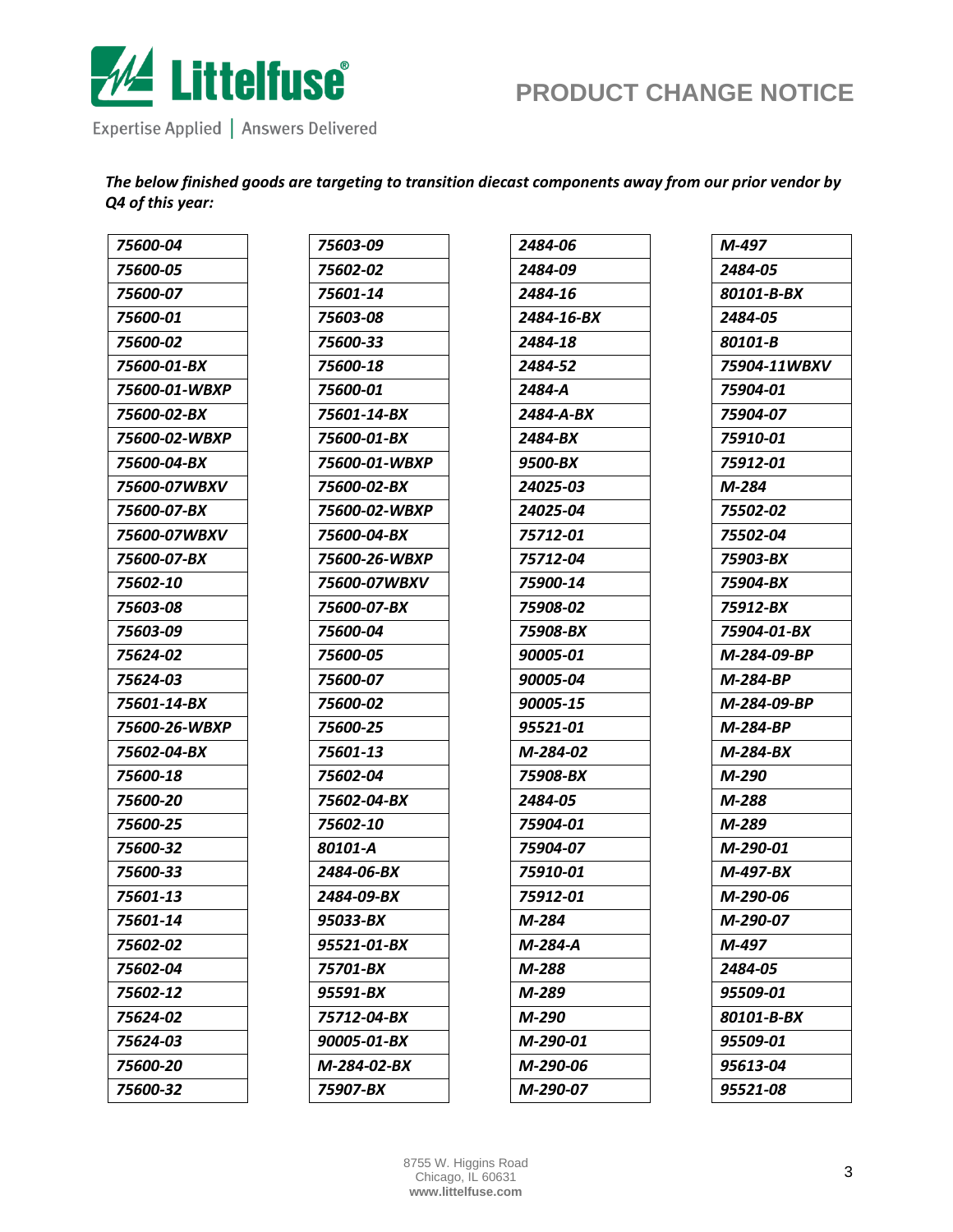

Expertise Applied | Answers Delivered

*The below finished goods are targeting to transition diecast components away from our prior vendor by Q4 of this year:*

| 75600-04           | 75603-09      | 2484-06    | M-497        |
|--------------------|---------------|------------|--------------|
| 75600-05           | 75602-02      | 2484-09    | 2484-05      |
| 75600-07           | 75601-14      | 2484-16    | 80101-B-BX   |
| 75600-01           | 75603-08      | 2484-16-BX | 2484-05      |
| 75600-02           | 75600-33      | 2484-18    | 80101-B      |
| 75600-01-BX        | 75600-18      | 2484-52    | 75904-11WBXV |
| 75600-01-WBXP      | 75600-01      | 2484-A     | 75904-01     |
| 75600-02-BX        | 75601-14-BX   | 2484-A-BX  | 75904-07     |
| 75600-02-WBXP      | 75600-01-BX   | 2484-BX    | 75910-01     |
| <i>75600-04-BX</i> | 75600-01-WBXP | 9500-BX    | 75912-01     |
| 75600-07WBXV       | 75600-02-BX   | 24025-03   | M-284        |
| 75600-07-BX        | 75600-02-WBXP | 24025-04   | 75502-02     |
| 75600-07WBXV       | 75600-04-BX   | 75712-01   | 75502-04     |
| 75600-07-BX        | 75600-26-WBXP | 75712-04   | 75903-BX     |
| 75602-10           | 75600-07WBXV  | 75900-14   | 75904-BX     |
| 75603-08           | 75600-07-BX   | 75908-02   | 75912-BX     |
| 75603-09           | 75600-04      | 75908-BX   | 75904-01-BX  |
| 75624-02           | 75600-05      | 90005-01   | M-284-09-BP  |
| 75624-03           | 75600-07      | 90005-04   | M-284-BP     |
| 75601-14-BX        | 75600-02      | 90005-15   | M-284-09-BP  |
| 75600-26-WBXP      | 75600-25      | 95521-01   | M-284-BP     |
| 75602-04-BX        | 75601-13      | M-284-02   | M-284-BX     |
| 75600-18           | 75602-04      | 75908-BX   | M-290        |
| 75600-20           | 75602-04-BX   | 2484-05    | M-288        |
| 75600-25           | 75602-10      | 75904-01   | M-289        |
| 75600-32           | 80101-A       | 75904-07   | M-290-01     |
| 75600-33           | 2484-06-BX    | 75910-01   | M-497-BX     |
| 75601-13           | 2484-09-BX    | 75912-01   | M-290-06     |
| 75601-14           | 95033-BX      | M-284      | M-290-07     |
| 75602-02           | 95521-01-BX   | M-284-A    | M-497        |
| 75602-04           | 75701-BX      | M-288      | 2484-05      |
| 75602-12           | 95591-BX      | M-289      | 95509-01     |
| 75624-02           | 75712-04-BX   | M-290      | 80101-B-BX   |
| 75624-03           | 90005-01-BX   | M-290-01   | 95509-01     |
| 75600-20           | M-284-02-BX   | M-290-06   | 95613-04     |
| 75600-32           | 75907-BX      | M-290-07   | 95521-08     |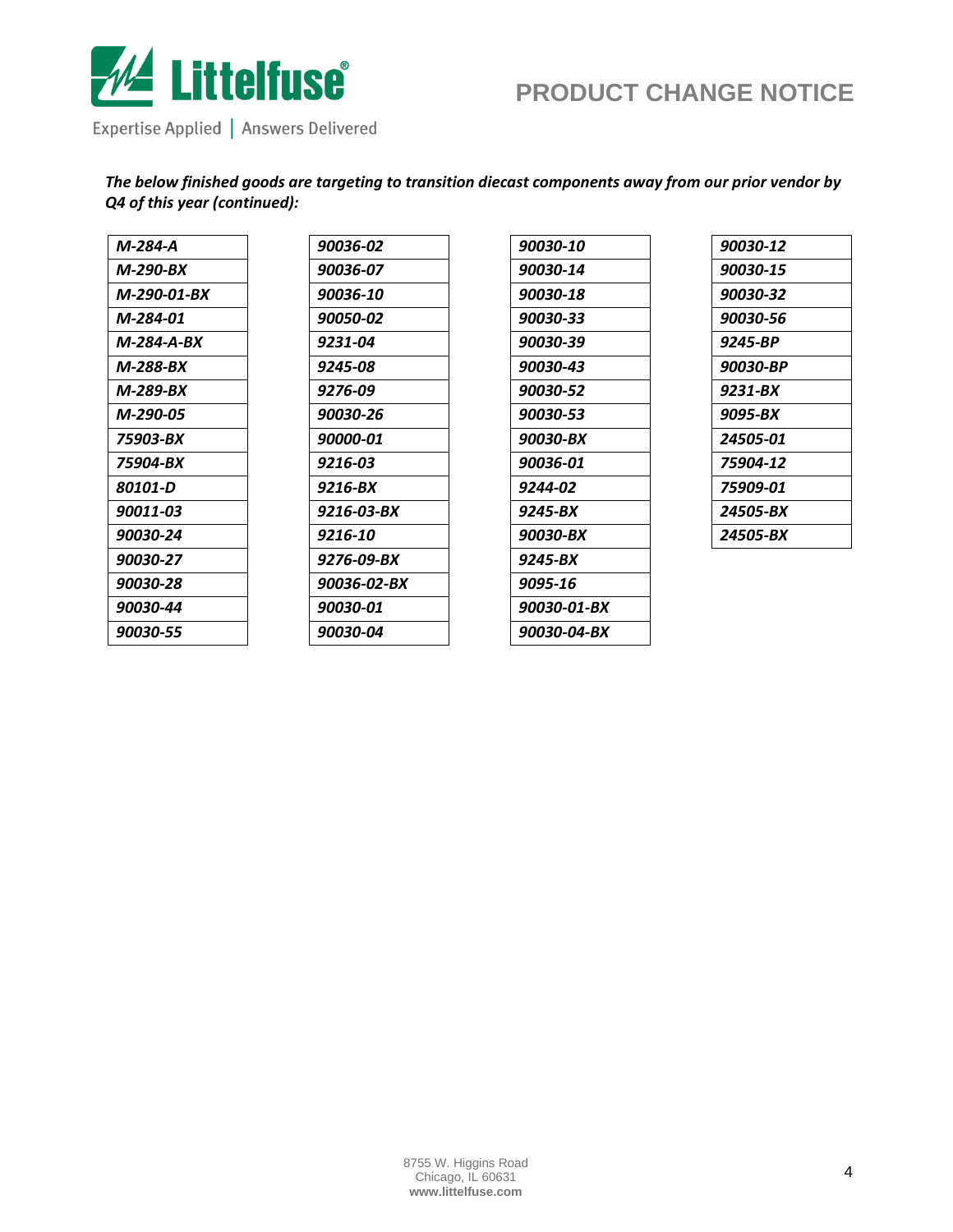

Expertise Applied | Answers Delivered

*The below finished goods are targeting to transition diecast components away from our prior vendor by Q4 of this year (continued):*

| M-284-A     | 90036-02    |
|-------------|-------------|
| M-290-BX    | 90036-07    |
| M-290-01-BX | 90036-10    |
| M-284-01    | 90050-02    |
| M-284-A-BX  | 9231-04     |
| M-288-BX    | 9245-08     |
| M-289-BX    | 9276-09     |
| M-290-05    | 90030-26    |
| 75903-BX    | 90000-01    |
| 75904-BX    | 9216-03     |
| 80101-D     | 9216-BX     |
| 90011-03    | 9216-03-BX  |
| 90030-24    | 9216-10     |
| 90030-27    | 9276-09-BX  |
| 90030-28    | 90036-02-BX |
| 90030-44    | 90030-01    |
| 90030-55    | 90030-04    |
|             |             |

| 90030-10    |
|-------------|
| 90030-14    |
| 90030-18    |
| 90030-33    |
| 90030-39    |
| 90030-43    |
| 90030-52    |
| 90030-53    |
| 90030-BX    |
| 90036-01    |
| 9244-02     |
| 9245-BX     |
| 90030-BX    |
| 9245-BX     |
| 9095-16     |
| 90030-01-BX |
| 90030-04-BX |
|             |

| 90030-12 |
|----------|
| 90030-15 |
| 90030-32 |
| 90030-56 |
| 9245-BP  |
| 90030-BP |
| 9231-BX  |
| 9095-BX  |
| 24505-01 |
| 75904-12 |
| 75909-01 |
| 24505-BX |
| 24505-BX |
|          |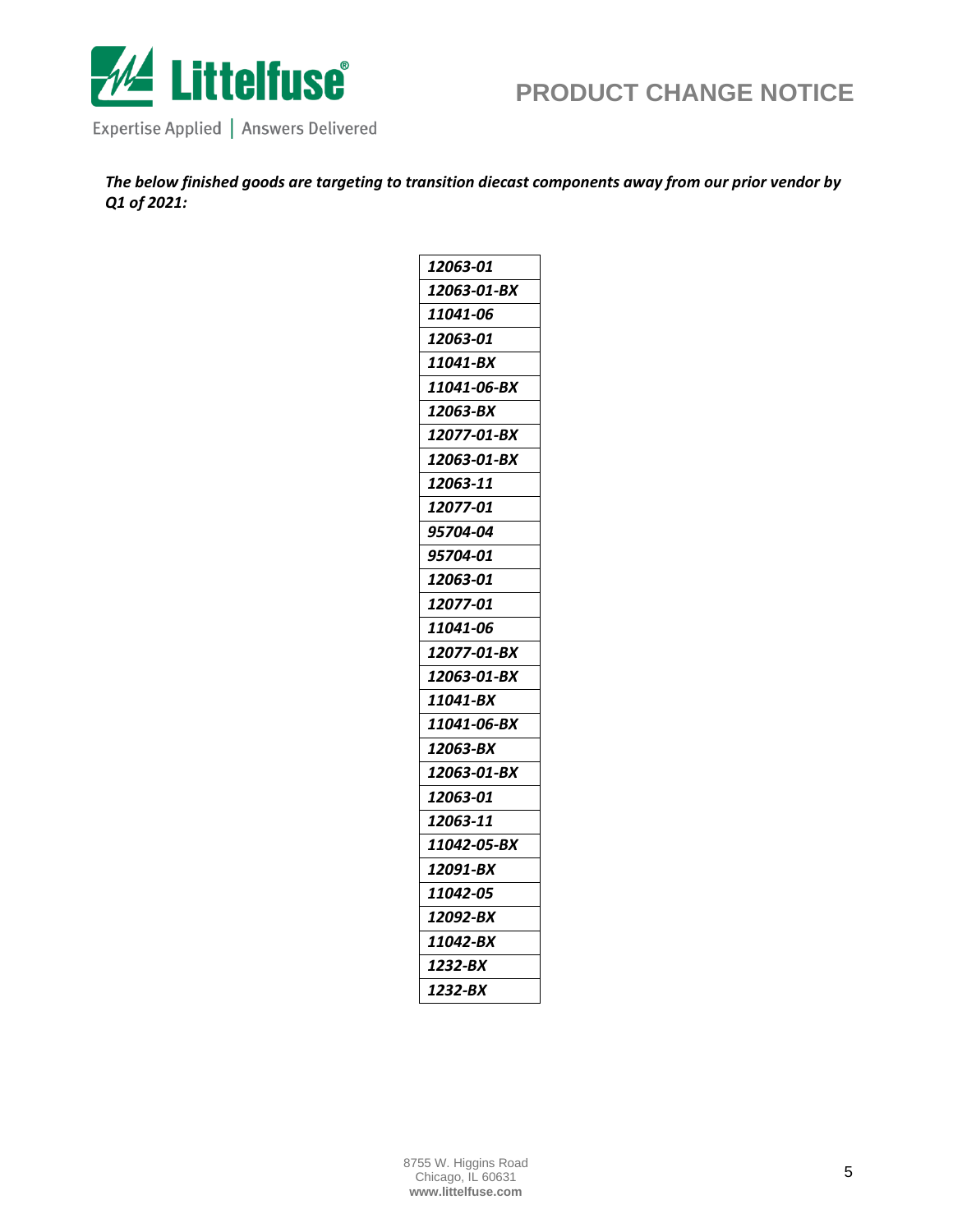

Expertise Applied | Answers Delivered

*The below finished goods are targeting to transition diecast components away from our prior vendor by Q1 of 2021:*

| 12063-01    |
|-------------|
| 12063-01-BX |
| 11041-06    |
| 12063-01    |
| 11041-BX    |
| 11041-06-BX |
| 12063-BX    |
| 12077-01-BX |
| 12063-01-BX |
| 12063-11    |
| 12077-01    |
| 95704-04    |
| 95704-01    |
| 12063-01    |
| 12077-01    |
| 11041-06    |
| 12077-01-BX |
| 12063-01-BX |
| 11041-BX    |
| 11041-06-BX |
| 12063-BX    |
| 12063-01-BX |
| 12063-01    |
| 12063-11    |
| 11042-05-BX |
| 12091-BX    |
| 11042-05    |
| 12092-BX    |
| 11042-BX    |
| 1232-BX     |
| 1232-BX     |
|             |